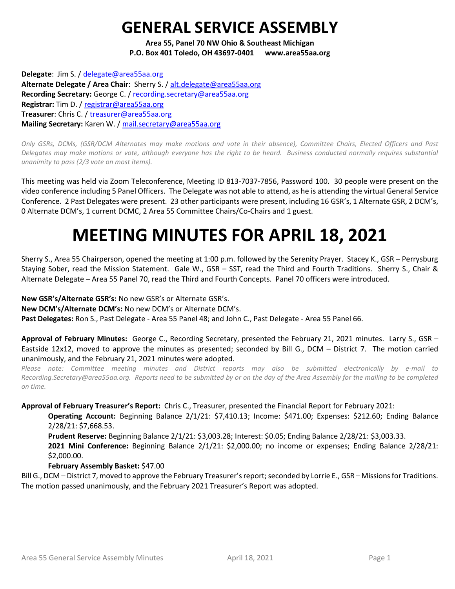## GENERAL SERVICE ASSEMBLY

Area 55, Panel 70 NW Ohio & Southeast Michigan P.O. Box 401 Toledo, OH 43697-0401 www.area55aa.org

Delegate: Jim S. / delegate@area55aa.org Alternate Delegate / Area Chair: Sherry S. / alt.delegate@area55aa.org Recording Secretary: George C. / recording.secretary@area55aa.org Registrar: Tim D. / registrar@area55aa.org Treasurer: Chris C. / treasurer@area55aa.org Mailing Secretary: Karen W. / mail.secretary@area55aa.org

Only GSRs, DCMs, (GSR/DCM Alternates may make motions and vote in their absence), Committee Chairs, Elected Officers and Past Delegates may make motions or vote, although everyone has the right to be heard. Business conducted normally requires substantial unanimity to pass (2/3 vote on most items).

This meeting was held via Zoom Teleconference, Meeting ID 813-7037-7856, Password 100. 30 people were present on the video conference including 5 Panel Officers. The Delegate was not able to attend, as he is attending the virtual General Service Conference. 2 Past Delegates were present. 23 other participants were present, including 16 GSR's, 1 Alternate GSR, 2 DCM's, 0 Alternate DCM's, 1 current DCMC, 2 Area 55 Committee Chairs/Co-Chairs and 1 guest.

# MEETING MINUTES FOR APRIL 18, 2021

Sherry S., Area 55 Chairperson, opened the meeting at 1:00 p.m. followed by the Serenity Prayer. Stacey K., GSR – Perrysburg Staying Sober, read the Mission Statement. Gale W., GSR – SST, read the Third and Fourth Traditions. Sherry S., Chair & Alternate Delegate – Area 55 Panel 70, read the Third and Fourth Concepts. Panel 70 officers were introduced.

New GSR's/Alternate GSR's: No new GSR's or Alternate GSR's.

New DCM's/Alternate DCM's: No new DCM's or Alternate DCM's.

Past Delegates: Ron S., Past Delegate - Area 55 Panel 48; and John C., Past Delegate - Area 55 Panel 66.

Approval of February Minutes: George C., Recording Secretary, presented the February 21, 2021 minutes. Larry S., GSR -Eastside 12x12, moved to approve the minutes as presented; seconded by Bill G., DCM – District 7. The motion carried unanimously, and the February 21, 2021 minutes were adopted.

Please note: Committee meeting minutes and District reports may also be submitted electronically by e-mail to Recording.Secretary@area55aa.org. Reports need to be submitted by or on the day of the Area Assembly for the mailing to be completed on time.

Approval of February Treasurer's Report: Chris C., Treasurer, presented the Financial Report for February 2021:

Operating Account: Beginning Balance 2/1/21: \$7,410.13; Income: \$471.00; Expenses: \$212.60; Ending Balance 2/28/21: \$7,668.53.

Prudent Reserve: Beginning Balance 2/1/21: \$3,003.28; Interest: \$0.05; Ending Balance 2/28/21: \$3,003.33. 2021 Mini Conference: Beginning Balance 2/1/21: \$2,000.00; no income or expenses; Ending Balance 2/28/21: \$2,000.00.

## February Assembly Basket: \$47.00

Bill G., DCM – District 7, moved to approve the February Treasurer's report; seconded by Lorrie E., GSR – Missions for Traditions. The motion passed unanimously, and the February 2021 Treasurer's Report was adopted.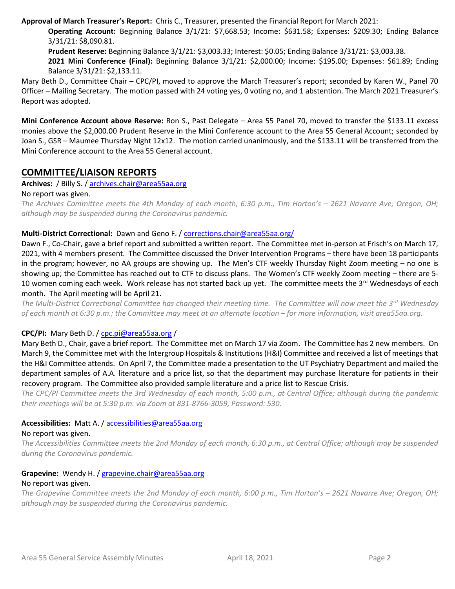Approval of March Treasurer's Report: Chris C., Treasurer, presented the Financial Report for March 2021:

Operating Account: Beginning Balance 3/1/21: \$7,668.53; Income: \$631.58; Expenses: \$209.30; Ending Balance 3/31/21: \$8,090.81.

Prudent Reserve: Beginning Balance 3/1/21: \$3,003.33; Interest: \$0.05; Ending Balance 3/31/21: \$3,003.38.

2021 Mini Conference (Final): Beginning Balance 3/1/21: \$2,000.00; Income: \$195.00; Expenses: \$61.89; Ending Balance 3/31/21: \$2,133.11.

Mary Beth D., Committee Chair – CPC/PI, moved to approve the March Treasurer's report; seconded by Karen W., Panel 70 Officer – Mailing Secretary. The motion passed with 24 voting yes, 0 voting no, and 1 abstention. The March 2021 Treasurer's Report was adopted.

Mini Conference Account above Reserve: Ron S., Past Delegate – Area 55 Panel 70, moved to transfer the \$133.11 excess monies above the \$2,000.00 Prudent Reserve in the Mini Conference account to the Area 55 General Account; seconded by Joan S., GSR – Maumee Thursday Night 12x12. The motion carried unanimously, and the \$133.11 will be transferred from the Mini Conference account to the Area 55 General account.

## COMMITTEE/LIAISON REPORTS

Archives: / Billy S. / archives.chair@area55aa.org

#### No report was given.

The Archives Committee meets the 4th Monday of each month, 6:30 p.m., Tim Horton's – 2621 Navarre Ave; Oregon, OH; although may be suspended during the Coronavirus pandemic.

## Multi-District Correctional: Dawn and Geno F. / corrections.chair@area55aa.org/

Dawn F., Co-Chair, gave a brief report and submitted a written report. The Committee met in-person at Frisch's on March 17, 2021, with 4 members present. The Committee discussed the Driver Intervention Programs – there have been 18 participants in the program; however, no AA groups are showing up. The Men's CTF weekly Thursday Night Zoom meeting – no one is showing up; the Committee has reached out to CTF to discuss plans. The Women's CTF weekly Zoom meeting – there are 5- 10 women coming each week. Work release has not started back up yet. The committee meets the 3rd Wednesdays of each month. The April meeting will be April 21.

The Multi-District Correctional Committee has changed their meeting time. The Committee will now meet the  $3^{rd}$  Wednesday of each month at 6:30 p.m.; the Committee may meet at an alternate location – for more information, visit area55aa.org.

## CPC/PI: Mary Beth D. / cpc.pi@area55aa.org /

Mary Beth D., Chair, gave a brief report. The Committee met on March 17 via Zoom. The Committee has 2 new members. On March 9, the Committee met with the Intergroup Hospitals & Institutions (H&I) Committee and received a list of meetings that the H&I Committee attends. On April 7, the Committee made a presentation to the UT Psychiatry Department and mailed the department samples of A.A. literature and a price list, so that the department may purchase literature for patients in their recovery program. The Committee also provided sample literature and a price list to Rescue Crisis.

The CPC/PI Committee meets the 3rd Wednesday of each month, 5:00 p.m., at Central Office; although during the pandemic their meetings will be at 5:30 p.m. via Zoom at 831-8766-3059, Password: 530.

## Accessibilities: Matt A. / accessibilities@area55aa.org

#### No report was given.

The Accessibilities Committee meets the 2nd Monday of each month, 6:30 p.m., at Central Office; although may be suspended during the Coronavirus pandemic.

#### Grapevine: Wendy H. / grapevine.chair@area55aa.org No report was given.

The Grapevine Committee meets the 2nd Monday of each month, 6:00 p.m., Tim Horton's – 2621 Navarre Ave; Oregon, OH; although may be suspended during the Coronavirus pandemic.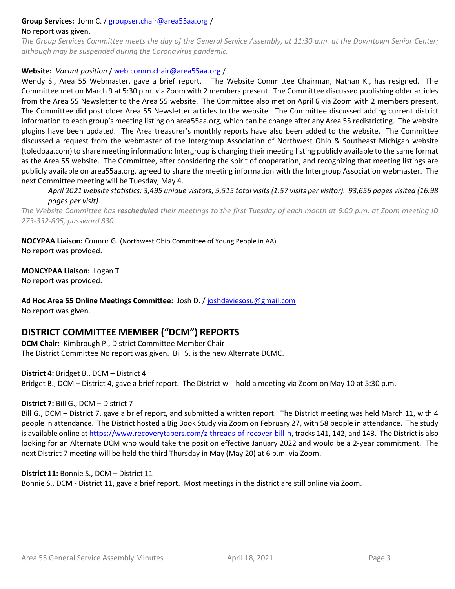#### Group Services: John C. / groupser.chair@area55aa.org /

#### No report was given.

The Group Services Committee meets the day of the General Service Assembly, at 11:30 a.m. at the Downtown Senior Center; although may be suspended during the Coronavirus pandemic.

#### Website: Vacant position / web.comm.chair@area55aa.org /

Wendy S., Area 55 Webmaster, gave a brief report. The Website Committee Chairman, Nathan K., has resigned. The Committee met on March 9 at 5:30 p.m. via Zoom with 2 members present. The Committee discussed publishing older articles from the Area 55 Newsletter to the Area 55 website. The Committee also met on April 6 via Zoom with 2 members present. The Committee did post older Area 55 Newsletter articles to the website. The Committee discussed adding current district information to each group's meeting listing on area55aa.org, which can be change after any Area 55 redistricting. The website plugins have been updated. The Area treasurer's monthly reports have also been added to the website. The Committee discussed a request from the webmaster of the Intergroup Association of Northwest Ohio & Southeast Michigan website (toledoaa.com) to share meeting information; Intergroup is changing their meeting listing publicly available to the same format as the Area 55 website. The Committee, after considering the spirit of cooperation, and recognizing that meeting listings are publicly available on area55aa.org, agreed to share the meeting information with the Intergroup Association webmaster. The next Committee meeting will be Tuesday, May 4.

April 2021 website statistics: 3,495 unique visitors; 5,515 total visits (1.57 visits per visitor). 93,656 pages visited (16.98 pages per visit).

The Website Committee has rescheduled their meetings to the first Tuesday of each month at 6:00 p.m. at Zoom meeting ID 273-332-805, password 830.

NOCYPAA Liaison: Connor G. (Northwest Ohio Committee of Young People in AA) No report was provided.

#### MONCYPAA Liaison: Logan T.

No report was provided.

Ad Hoc Area 55 Online Meetings Committee: Josh D. / joshdaviesosu@gmail.com No report was given.

## DISTRICT COMMITTEE MEMBER ("DCM") REPORTS

DCM Chair: Kimbrough P., District Committee Member Chair The District Committee No report was given. Bill S. is the new Alternate DCMC.

District 4: Bridget B., DCM – District 4

Bridget B., DCM – District 4, gave a brief report. The District will hold a meeting via Zoom on May 10 at 5:30 p.m.

#### District 7: Bill G., DCM – District 7

Bill G., DCM – District 7, gave a brief report, and submitted a written report. The District meeting was held March 11, with 4 people in attendance. The District hosted a Big Book Study via Zoom on February 27, with 58 people in attendance. The study is available online at https://www.recoverytapers.com/z-threads-of-recover-bill-h, tracks 141, 142, and 143. The District is also looking for an Alternate DCM who would take the position effective January 2022 and would be a 2-year commitment. The next District 7 meeting will be held the third Thursday in May (May 20) at 6 p.m. via Zoom.

#### District 11: Bonnie S., DCM – District 11

Bonnie S., DCM - District 11, gave a brief report. Most meetings in the district are still online via Zoom.